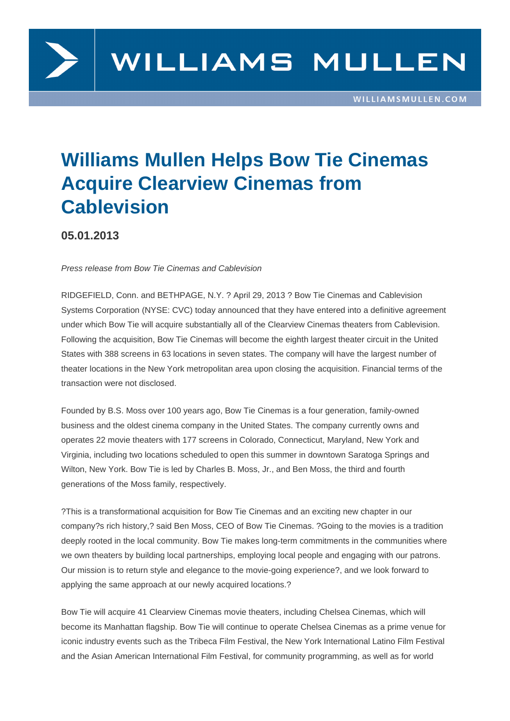

# **Williams Mullen Helps Bow Tie Cinemas Acquire Clearview Cinemas from Cablevision**

**05.01.2013**

Press release from Bow Tie Cinemas and Cablevision

RIDGEFIELD, Conn. and BETHPAGE, N.Y. ? April 29, 2013 ? Bow Tie Cinemas and Cablevision Systems Corporation (NYSE: CVC) today announced that they have entered into a definitive agreement under which Bow Tie will acquire substantially all of the Clearview Cinemas theaters from Cablevision. Following the acquisition, Bow Tie Cinemas will become the eighth largest theater circuit in the United States with 388 screens in 63 locations in seven states. The company will have the largest number of theater locations in the New York metropolitan area upon closing the acquisition. Financial terms of the transaction were not disclosed.

Founded by B.S. Moss over 100 years ago, Bow Tie Cinemas is a four generation, family-owned business and the oldest cinema company in the United States. The company currently owns and operates 22 movie theaters with 177 screens in Colorado, Connecticut, Maryland, New York and Virginia, including two locations scheduled to open this summer in downtown Saratoga Springs and Wilton, New York. Bow Tie is led by Charles B. Moss, Jr., and Ben Moss, the third and fourth generations of the Moss family, respectively.

?This is a transformational acquisition for Bow Tie Cinemas and an exciting new chapter in our company?s rich history,? said Ben Moss, CEO of Bow Tie Cinemas. ?Going to the movies is a tradition deeply rooted in the local community. Bow Tie makes long-term commitments in the communities where we own theaters by building local partnerships, employing local people and engaging with our patrons. Our mission is to return style and elegance to the movie-going experience?, and we look forward to applying the same approach at our newly acquired locations.?

Bow Tie will acquire 41 Clearview Cinemas movie theaters, including Chelsea Cinemas, which will become its Manhattan flagship. Bow Tie will continue to operate Chelsea Cinemas as a prime venue for iconic industry events such as the Tribeca Film Festival, the New York International Latino Film Festival and the Asian American International Film Festival, for community programming, as well as for world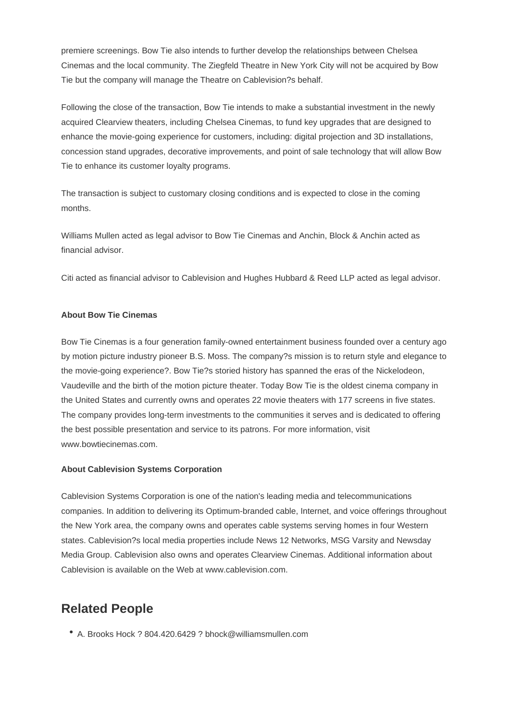premiere screenings. Bow Tie also intends to further develop the relationships between Chelsea Cinemas and the local community. The Ziegfeld Theatre in New York City will not be acquired by Bow Tie but the company will manage the Theatre on Cablevision?s behalf.

Following the close of the transaction, Bow Tie intends to make a substantial investment in the newly acquired Clearview theaters, including Chelsea Cinemas, to fund key upgrades that are designed to enhance the movie-going experience for customers, including: digital projection and 3D installations, concession stand upgrades, decorative improvements, and point of sale technology that will allow Bow Tie to enhance its customer loyalty programs.

The transaction is subject to customary closing conditions and is expected to close in the coming months.

Williams Mullen acted as legal advisor to Bow Tie Cinemas and Anchin, Block & Anchin acted as financial advisor.

Citi acted as financial advisor to Cablevision and Hughes Hubbard & Reed LLP acted as legal advisor.

#### **About Bow Tie Cinemas**

Bow Tie Cinemas is a four generation family-owned entertainment business founded over a century ago by motion picture industry pioneer B.S. Moss. The company?s mission is to return style and elegance to the movie-going experience?. Bow Tie?s storied history has spanned the eras of the Nickelodeon, Vaudeville and the birth of the motion picture theater. Today Bow Tie is the oldest cinema company in the United States and currently owns and operates 22 movie theaters with 177 screens in five states. The company provides long-term investments to the communities it serves and is dedicated to offering the best possible presentation and service to its patrons. For more information, visit www.bowtiecinemas.com.

#### **About Cablevision Systems Corporation**

Cablevision Systems Corporation is one of the nation's leading media and telecommunications companies. In addition to delivering its Optimum-branded cable, Internet, and voice offerings throughout the New York area, the company owns and operates cable systems serving homes in four Western states. Cablevision?s local media properties include News 12 Networks, MSG Varsity and Newsday Media Group. Cablevision also owns and operates Clearview Cinemas. Additional information about Cablevision is available on the Web at www.cablevision.com.

### **Related People**

A. Brooks Hock ? 804.420.6429 ? bhock@williamsmullen.com